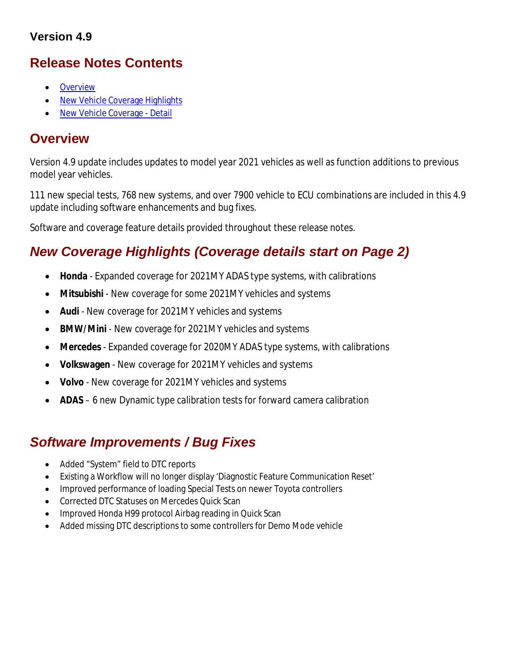### **Version 4.9**

# **Release Notes Contents**

- **Overview**
- New Vehicle Coverage Highlights
- New Vehicle Coverage Detail

## **Overview**

Version 4.9 update includes updates to model year 2021 vehicles as well as function additions to previous model year vehicles.

111 new special tests, 768 new systems, and over 7900 vehicle to ECU combinations are included in this 4.9 update including software enhancements and bug fixes.

Software and coverage feature details provided throughout these release notes.

# *New Coverage Highlights (Coverage details start on Page 2)*

- **Honda** Expanded coverage for 2021MY ADAS type systems, with calibrations
- **Mitsubishi** New coverage for some 2021MY vehicles and systems
- **Audi** New coverage for 2021MY vehicles and systems
- **BMW/Mini** New coverage for 2021MY vehicles and systems
- **Mercedes** Expanded coverage for 2020MY ADAS type systems, with calibrations
- **Volkswagen** New coverage for 2021MY vehicles and systems
- **Volvo** New coverage for 2021MY vehicles and systems
- **ADAS** 6 new Dynamic type calibration tests for forward camera calibration

# *Software Improvements / Bug Fixes*

- Added "System" field to DTC reports
- Existing a Workflow will no longer display 'Diagnostic Feature Communication Reset'
- Improved performance of loading Special Tests on newer Toyota controllers
- Corrected DTC Statuses on Mercedes Quick Scan
- Improved Honda H99 protocol Airbag reading in Quick Scan
- Added missing DTC descriptions to some controllers for Demo Mode vehicle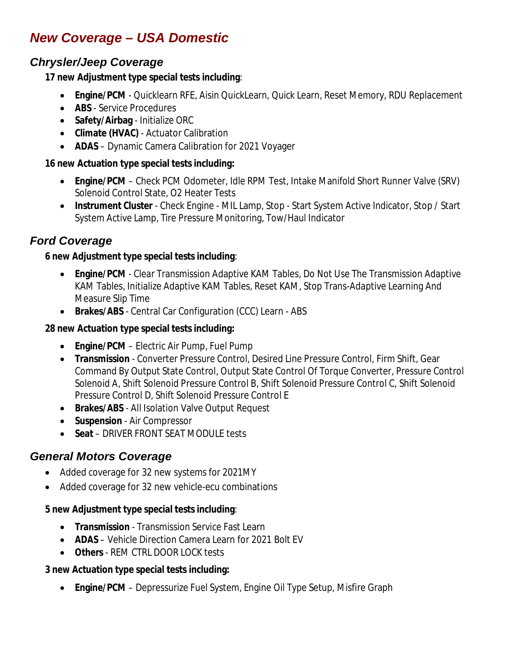# *New Coverage – USA Domestic*

## *Chrysler/Jeep Coverage*

#### **17 new Adjustment type special tests including**:

- **Engine/PCM** Quicklearn RFE, Aisin QuickLearn, Quick Learn, Reset Memory, RDU Replacement
- **ABS** Service Procedures
- **Safety/Airbag** Initialize ORC
- **Climate (HVAC)** Actuator Calibration
- **ADAS** Dynamic Camera Calibration for 2021 Voyager

#### **16 new Actuation type special tests including:**

- **Engine/PCM** Check PCM Odometer, Idle RPM Test, Intake Manifold Short Runner Valve (SRV) Solenoid Control State, O2 Heater Tests
- **Instrument Cluster** Check Engine MIL Lamp, Stop Start System Active Indicator, Stop / Start System Active Lamp, Tire Pressure Monitoring, Tow/Haul Indicator

## *Ford Coverage*

#### **6 new Adjustment type special tests including**:

- **Engine/PCM** Clear Transmission Adaptive KAM Tables, Do Not Use The Transmission Adaptive KAM Tables, Initialize Adaptive KAM Tables, Reset KAM, Stop Trans-Adaptive Learning And Measure Slip Time
- **Brakes/ABS**  Central Car Configuration (CCC) Learn ABS

### **28 new Actuation type special tests including:**

- **Engine/PCM** Electric Air Pump, Fuel Pump
- **Transmission** Converter Pressure Control, Desired Line Pressure Control, Firm Shift, Gear Command By Output State Control, Output State Control Of Torque Converter, Pressure Control Solenoid A, Shift Solenoid Pressure Control B, Shift Solenoid Pressure Control C, Shift Solenoid Pressure Control D, Shift Solenoid Pressure Control E
- **Brakes/ABS** All Isolation Valve Output Request
- **•** Suspension Air Compressor
- **Seat** DRIVER FRONT SEAT MODULE tests

### *General Motors Coverage*

- Added coverage for 32 new systems for 2021MY
- Added coverage for 32 new vehicle-ecu combinations

#### **5 new Adjustment type special tests including**:

- **Transmission** Transmission Service Fast Learn
- **ADAS** Vehicle Direction Camera Learn for 2021 Bolt EV
- **Others** REM CTRL DOOR LOCK tests

### **3 new Actuation type special tests including:**

**Engine/PCM** – Depressurize Fuel System, Engine Oil Type Setup, Misfire Graph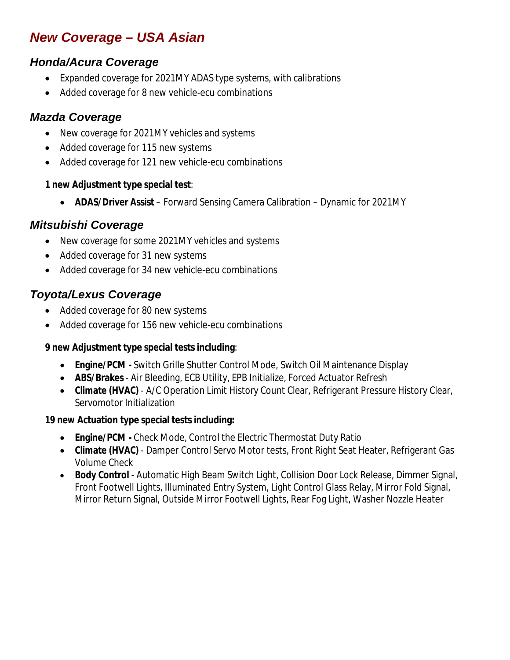# *New Coverage – USA Asian*

## *Honda/Acura Coverage*

- Expanded coverage for 2021MY ADAS type systems, with calibrations
- Added coverage for 8 new vehicle-ecu combinations

### *Mazda Coverage*

- New coverage for 2021MY vehicles and systems
- Added coverage for 115 new systems
- Added coverage for 121 new vehicle-ecu combinations

#### **1 new Adjustment type special test**:

**ADAS/Driver Assist** – Forward Sensing Camera Calibration – Dynamic for 2021MY

### *Mitsubishi Coverage*

- New coverage for some 2021MY vehicles and systems
- Added coverage for 31 new systems
- Added coverage for 34 new vehicle-ecu combinations

## *Toyota/Lexus Coverage*

- Added coverage for 80 new systems
- Added coverage for 156 new vehicle-ecu combinations

### **9 new Adjustment type special tests including**:

- **Engine/PCM -** Switch Grille Shutter Control Mode, Switch Oil Maintenance Display
- **ABS/Brakes** Air Bleeding, ECB Utility, EPB Initialize, Forced Actuator Refresh
- **Climate (HVAC)** A/C Operation Limit History Count Clear, Refrigerant Pressure History Clear, Servomotor Initialization

### **19 new Actuation type special tests including:**

- **Engine/PCM -** Check Mode, Control the Electric Thermostat Duty Ratio
- **Climate (HVAC)** Damper Control Servo Motor tests, Front Right Seat Heater, Refrigerant Gas Volume Check
- **Body Control** Automatic High Beam Switch Light, Collision Door Lock Release, Dimmer Signal, Front Footwell Lights, Illuminated Entry System, Light Control Glass Relay, Mirror Fold Signal, Mirror Return Signal, Outside Mirror Footwell Lights, Rear Fog Light, Washer Nozzle Heater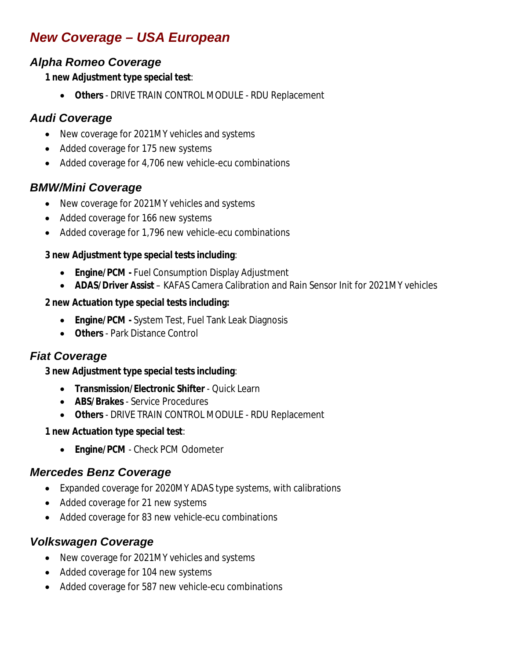# *New Coverage – USA European*

## *Alpha Romeo Coverage*

#### **1 new Adjustment type special test**:

**Others** - DRIVE TRAIN CONTROL MODULE - RDU Replacement

### *Audi Coverage*

- New coverage for 2021MY vehicles and systems
- Added coverage for 175 new systems
- Added coverage for 4,706 new vehicle-ecu combinations

### *BMW/Mini Coverage*

- New coverage for 2021MY vehicles and systems
- Added coverage for 166 new systems
- Added coverage for 1,796 new vehicle-ecu combinations

#### **3 new Adjustment type special tests including**:

- **Engine/PCM -** Fuel Consumption Display Adjustment
- **ADAS/Driver Assist** KAFAS Camera Calibration and Rain Sensor Init for 2021MY vehicles

#### **2 new Actuation type special tests including:**

- **Engine/PCM -** System Test, Fuel Tank Leak Diagnosis
- **Others** Park Distance Control

### *Fiat Coverage*

#### **3 new Adjustment type special tests including**:

- **Transmission/Electronic Shifter** Quick Learn
- **ABS/Brakes** Service Procedures
- **Others** DRIVE TRAIN CONTROL MODULE RDU Replacement

#### **1 new Actuation type special test**:

**Engine/PCM** - Check PCM Odometer

### *Mercedes Benz Coverage*

- Expanded coverage for 2020MY ADAS type systems, with calibrations
- Added coverage for 21 new systems
- Added coverage for 83 new vehicle-ecu combinations

### *Volkswagen Coverage*

- New coverage for 2021MY vehicles and systems
- Added coverage for 104 new systems
- Added coverage for 587 new vehicle-ecu combinations